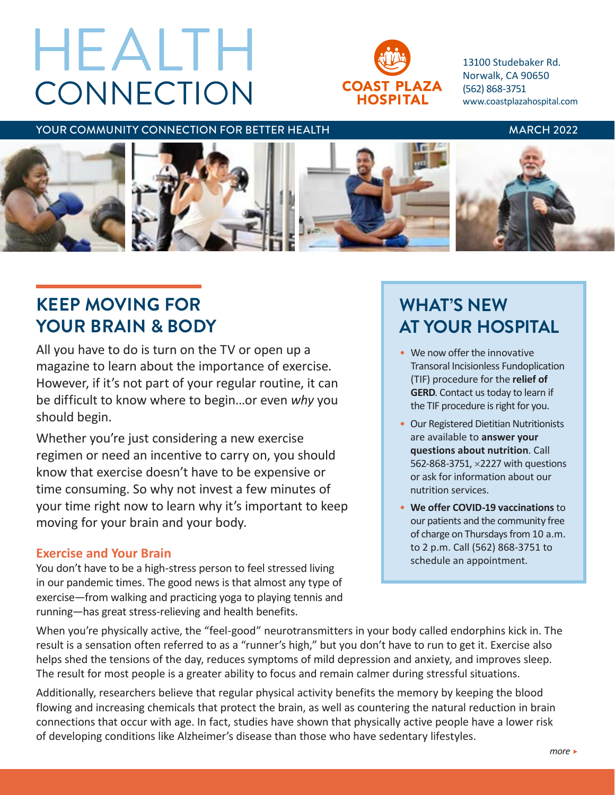# **CONNECTION** HEALTH



13100 Studebaker Rd. Norwalk, CA 90650 (562) 868-3751 www.coastplazahospital.com

YOUR COMMUNITY CONNECTION FOR BETTER HEALTH MARCH 2022



# **KEEP MOVING FOR YOUR BRAIN & BODY**

All you have to do is turn on the TV or open up a magazine to learn about the importance of exercise. However, if it's not part of your regular routine, it can be difficult to know where to begin…or even *why* you should begin.

Whether you're just considering a new exercise regimen or need an incentive to carry on, you should know that exercise doesn't have to be expensive or time consuming. So why not invest a few minutes of your time right now to learn why it's important to keep moving for your brain and your body.

## **Exercise and Your Brain**

You don't have to be a high-stress person to feel stressed living in our pandemic times. The good news is that almost any type of exercise—from walking and practicing yoga to playing tennis and running—has great stress-relieving and health benefits.

# **WHAT'S NEW AT YOUR HOSPITAL**

- We now offer the innovative Transoral Incisionless Fundoplication (TIF) procedure for the **relief of GERD**. Contact us today to learn if the TIF procedure is right for you.
- Our Registered Dietitian Nutritionists are available to **answer your questions about nutrition**. Call 562-868-3751, ×2227 with questions or ask for information about our nutrition services.
- **We offer COVID-19 vaccinations** to our patients and the community free of charge on Thursdays from 10 a.m. to 2 p.m. Call (562) 868-3751 to schedule an appointment.

When you're physically active, the "feel-good" neurotransmitters in your body called endorphins kick in. The result is a sensation often referred to as a "runner's high," but you don't have to run to get it. Exercise also helps shed the tensions of the day, reduces symptoms of mild depression and anxiety, and improves sleep. The result for most people is a greater ability to focus and remain calmer during stressful situations.

Additionally, researchers believe that regular physical activity benefits the memory by keeping the blood flowing and increasing chemicals that protect the brain, as well as countering the natural reduction in brain connections that occur with age. In fact, studies have shown that physically active people have a lower risk of developing conditions like Alzheimer's disease than those who have sedentary lifestyles.